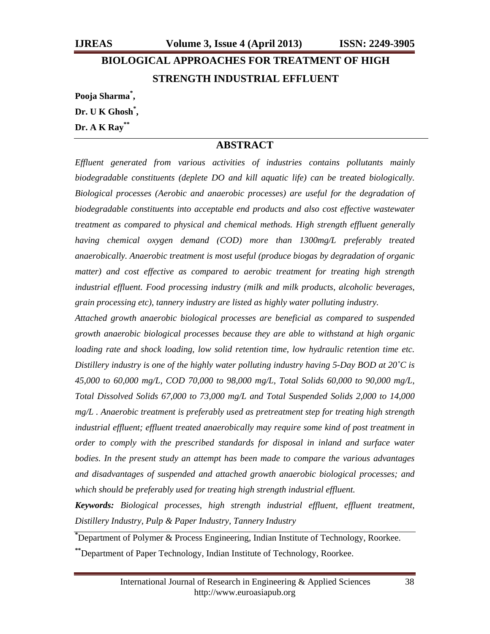# **BIOLOGICAL APPROACHES FOR TREATMENT OF HIGH STRENGTH INDUSTRIAL EFFLUENT**

**Pooja Sharma\* ,** 

**Dr. U K Ghosh\* ,** 

### **Dr. A K Ray\*\***

## **ABSTRACT**

*Effluent generated from various activities of industries contains pollutants mainly biodegradable constituents (deplete DO and kill aquatic life) can be treated biologically. Biological processes (Aerobic and anaerobic processes) are useful for the degradation of biodegradable constituents into acceptable end products and also cost effective wastewater treatment as compared to physical and chemical methods. High strength effluent generally having chemical oxygen demand (COD) more than 1300mg/L preferably treated anaerobically. Anaerobic treatment is most useful (produce biogas by degradation of organic matter)* and cost effective as compared to aerobic treatment for treating high strength *industrial effluent. Food processing industry (milk and milk products, alcoholic beverages, grain processing etc), tannery industry are listed as highly water polluting industry.* 

*Attached growth anaerobic biological processes are beneficial as compared to suspended growth anaerobic biological processes because they are able to withstand at high organic loading rate and shock loading, low solid retention time, low hydraulic retention time etc. Distillery industry is one of the highly water polluting industry having 5-Day BOD at 20˚C is 45,000 to 60,000 mg/L, COD 70,000 to 98,000 mg/L, Total Solids 60,000 to 90,000 mg/L, Total Dissolved Solids 67,000 to 73,000 mg/L and Total Suspended Solids 2,000 to 14,000 mg/L . Anaerobic treatment is preferably used as pretreatment step for treating high strength industrial effluent; effluent treated anaerobically may require some kind of post treatment in order to comply with the prescribed standards for disposal in inland and surface water bodies. In the present study an attempt has been made to compare the various advantages and disadvantages of suspended and attached growth anaerobic biological processes; and which should be preferably used for treating high strength industrial effluent.* 

*Keywords: Biological processes, high strength industrial effluent, effluent treatment, Distillery Industry, Pulp & Paper Industry, Tannery Industry* 

**\*** Department of Polymer & Process Engineering, Indian Institute of Technology, Roorkee.

**\*\***Department of Paper Technology, Indian Institute of Technology, Roorkee.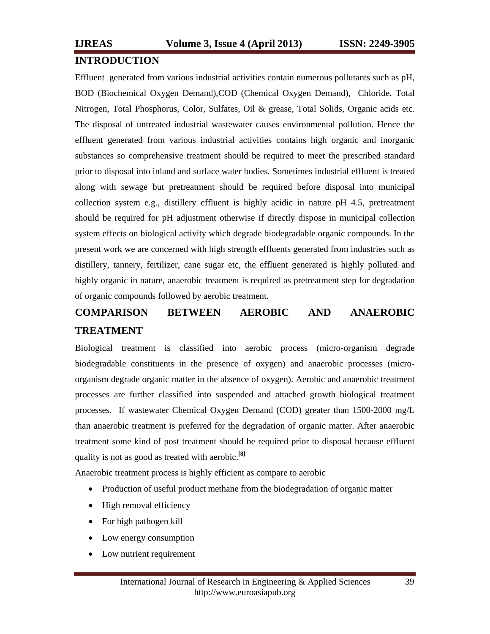## **INTRODUCTION**

Effluent generated from various industrial activities contain numerous pollutants such as pH, BOD (Biochemical Oxygen Demand),COD (Chemical Oxygen Demand), Chloride, Total Nitrogen, Total Phosphorus, Color, Sulfates, Oil & grease, Total Solids, Organic acids etc. The disposal of untreated industrial wastewater causes environmental pollution. Hence the effluent generated from various industrial activities contains high organic and inorganic substances so comprehensive treatment should be required to meet the prescribed standard prior to disposal into inland and surface water bodies. Sometimes industrial effluent is treated along with sewage but pretreatment should be required before disposal into municipal collection system e.g., distillery effluent is highly acidic in nature pH 4.5, pretreatment should be required for pH adjustment otherwise if directly dispose in municipal collection system effects on biological activity which degrade biodegradable organic compounds. In the present work we are concerned with high strength effluents generated from industries such as distillery, tannery, fertilizer, cane sugar etc, the effluent generated is highly polluted and highly organic in nature, anaerobic treatment is required as pretreatment step for degradation of organic compounds followed by aerobic treatment.

## **COMPARISON BETWEEN AEROBIC AND ANAEROBIC TREATMENT**

Biological treatment is classified into aerobic process (micro-organism degrade biodegradable constituents in the presence of oxygen) and anaerobic processes (microorganism degrade organic matter in the absence of oxygen). Aerobic and anaerobic treatment processes are further classified into suspended and attached growth biological treatment processes. If wastewater Chemical Oxygen Demand (COD) greater than 1500-2000 mg/L than anaerobic treatment is preferred for the degradation of organic matter. After anaerobic treatment some kind of post treatment should be required prior to disposal because effluent quality is not as good as treated with aerobic.**[8]**

Anaerobic treatment process is highly efficient as compare to aerobic

- Production of useful product methane from the biodegradation of organic matter
- High removal efficiency
- For high pathogen kill
- Low energy consumption
- Low nutrient requirement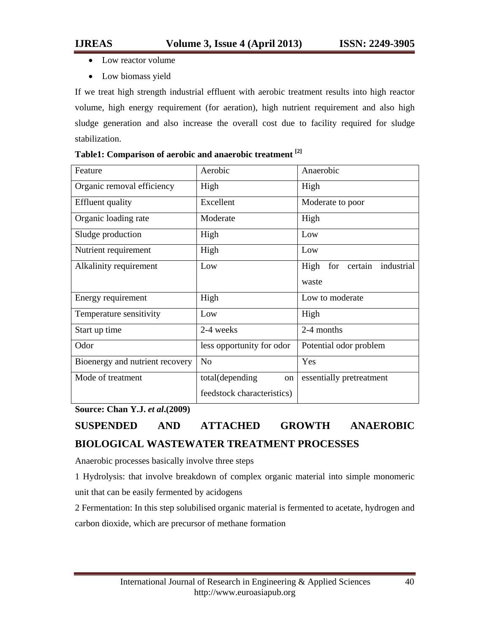- Low reactor volume
- Low biomass yield

If we treat high strength industrial effluent with aerobic treatment results into high reactor volume, high energy requirement (for aeration), high nutrient requirement and also high sludge generation and also increase the overall cost due to facility required for sludge stabilization.

| Feature                         | Aerobic                    | Anaerobic                      |  |  |
|---------------------------------|----------------------------|--------------------------------|--|--|
| Organic removal efficiency      | High                       | High                           |  |  |
| <b>Effluent</b> quality         | Excellent                  | Moderate to poor               |  |  |
| Organic loading rate            | Moderate                   | High                           |  |  |
| Sludge production               | High                       | Low                            |  |  |
| Nutrient requirement            | High                       | Low                            |  |  |
| Alkalinity requirement          | Low                        | for certain industrial<br>High |  |  |
|                                 |                            | waste                          |  |  |
| Energy requirement              | High                       | Low to moderate                |  |  |
| Temperature sensitivity         | Low                        | High                           |  |  |
| Start up time                   | 2-4 weeks                  | 2-4 months                     |  |  |
| Odor                            | less opportunity for odor  | Potential odor problem         |  |  |
| Bioenergy and nutrient recovery | N <sub>o</sub>             | Yes                            |  |  |
| Mode of treatment               | total(depending<br>on      | essentially pretreatment       |  |  |
|                                 | feedstock characteristics) |                                |  |  |

## **Table1: Comparison of aerobic and anaerobic treatment [2]**

**Source: Chan Y.J.** *et al***.(2009)** 

# **SUSPENDED AND ATTACHED GROWTH ANAEROBIC BIOLOGICAL WASTEWATER TREATMENT PROCESSES**

Anaerobic processes basically involve three steps

1 Hydrolysis: that involve breakdown of complex organic material into simple monomeric unit that can be easily fermented by acidogens

2 Fermentation: In this step solubilised organic material is fermented to acetate, hydrogen and carbon dioxide, which are precursor of methane formation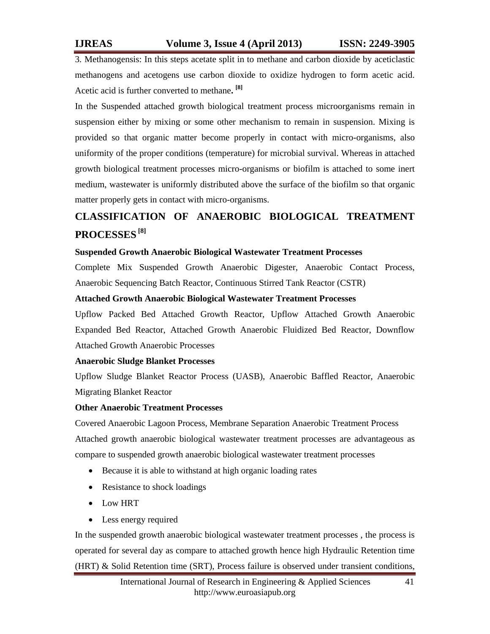3. Methanogensis: In this steps acetate split in to methane and carbon dioxide by aceticlastic methanogens and acetogens use carbon dioxide to oxidize hydrogen to form acetic acid. Acetic acid is further converted to methane**. [8]**

In the Suspended attached growth biological treatment process microorganisms remain in suspension either by mixing or some other mechanism to remain in suspension. Mixing is provided so that organic matter become properly in contact with micro-organisms, also uniformity of the proper conditions (temperature) for microbial survival. Whereas in attached growth biological treatment processes micro-organisms or biofilm is attached to some inert medium, wastewater is uniformly distributed above the surface of the biofilm so that organic matter properly gets in contact with micro-organisms.

# **CLASSIFICATION OF ANAEROBIC BIOLOGICAL TREATMENT PROCESSES [8]**

### **Suspended Growth Anaerobic Biological Wastewater Treatment Processes**

Complete Mix Suspended Growth Anaerobic Digester, Anaerobic Contact Process, Anaerobic Sequencing Batch Reactor, Continuous Stirred Tank Reactor (CSTR)

### **Attached Growth Anaerobic Biological Wastewater Treatment Processes**

Upflow Packed Bed Attached Growth Reactor, Upflow Attached Growth Anaerobic Expanded Bed Reactor, Attached Growth Anaerobic Fluidized Bed Reactor, Downflow Attached Growth Anaerobic Processes

## **Anaerobic Sludge Blanket Processes**

Upflow Sludge Blanket Reactor Process (UASB), Anaerobic Baffled Reactor, Anaerobic Migrating Blanket Reactor

### **Other Anaerobic Treatment Processes**

Covered Anaerobic Lagoon Process, Membrane Separation Anaerobic Treatment Process Attached growth anaerobic biological wastewater treatment processes are advantageous as compare to suspended growth anaerobic biological wastewater treatment processes

- Because it is able to withstand at high organic loading rates
- Resistance to shock loadings
- Low HRT
- Less energy required

In the suspended growth anaerobic biological wastewater treatment processes , the process is operated for several day as compare to attached growth hence high Hydraulic Retention time (HRT) & Solid Retention time (SRT), Process failure is observed under transient conditions,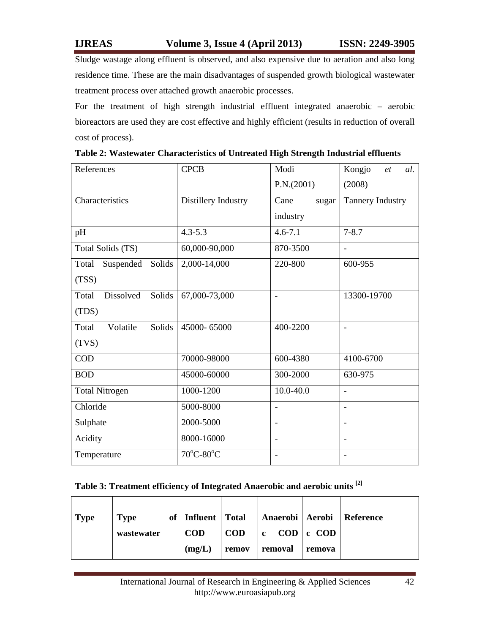Sludge wastage along effluent is observed, and also expensive due to aeration and also long residence time. These are the main disadvantages of suspended growth biological wastewater treatment process over attached growth anaerobic processes.

For the treatment of high strength industrial effluent integrated anaerobic – aerobic bioreactors are used they are cost effective and highly efficient (results in reduction of overall cost of process).

| References                   | <b>CPCB</b>                    | Modi                     | Kongjo<br>al.<br>et      |  |
|------------------------------|--------------------------------|--------------------------|--------------------------|--|
|                              |                                | P.N.(2001)               | (2008)                   |  |
| Characteristics              | Distillery Industry            | Cane<br>sugar            | Tannery Industry         |  |
|                              |                                | industry                 |                          |  |
| pH                           | $4.3 - 5.3$                    | $4.6 - 7.1$              | $7 - 8.7$                |  |
| Total Solids (TS)            | 60,000-90,000                  | 870-3500                 |                          |  |
| Solids<br>Suspended<br>Total | 2,000-14,000                   | 220-800                  | 600-955                  |  |
| (TSS)                        |                                |                          |                          |  |
| Dissolved<br>Solids<br>Total | 67,000-73,000                  |                          | 13300-19700              |  |
| (TDS)                        |                                |                          |                          |  |
| Solids<br>Volatile<br>Total  | 45000-65000                    | 400-2200                 | $\blacksquare$           |  |
| (TVS)                        |                                |                          |                          |  |
| <b>COD</b>                   | 70000-98000                    | 600-4380                 | 4100-6700                |  |
| <b>BOD</b>                   | 45000-60000                    | 300-2000                 | 630-975                  |  |
| <b>Total Nitrogen</b>        | 1000-1200                      | $10.0 - 40.0$            | $\blacksquare$           |  |
| Chloride                     | 5000-8000                      | $\blacksquare$           | $\blacksquare$           |  |
| Sulphate                     | 2000-5000                      | $\blacksquare$           | $\overline{\phantom{a}}$ |  |
| Acidity                      | 8000-16000                     | $\overline{\phantom{0}}$ | $\blacksquare$           |  |
| Temperature                  | $70^{\circ}$ C-80 $^{\circ}$ C | $\overline{\phantom{a}}$ | $\overline{\phantom{a}}$ |  |

| Table 2: Wastewater Characteristics of Untreated High Strength Industrial effluents |  |  |
|-------------------------------------------------------------------------------------|--|--|
|                                                                                     |  |  |

## **Table 3: Treatment efficiency of Integrated Anaerobic and aerobic units [2]**

| <b>Type</b> | <b>Type</b> | of   Influent   Total |                |                                |        | Anaerobi   Aerobi   Reference |
|-------------|-------------|-----------------------|----------------|--------------------------------|--------|-------------------------------|
|             | wastewater  | <b>COD</b>            | $\mathbf{COD}$ | $ c \quad COD \,  c \quad COD$ |        |                               |
|             |             | (mg/L)                | remov          | removal                        | remova |                               |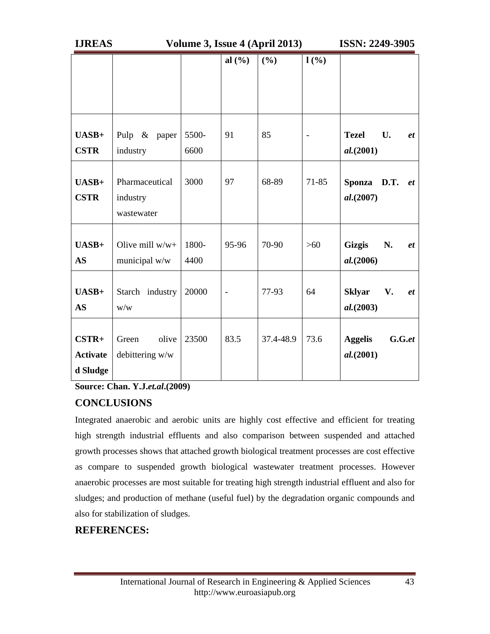| <b>IJREAS</b>                          | Volume 3, Issue 4 (April 2013)           |               |                |           |       | <b>ISSN: 2249-3905</b>                           |  |
|----------------------------------------|------------------------------------------|---------------|----------------|-----------|-------|--------------------------------------------------|--|
|                                        |                                          |               | al $(\% )$     | (%)       | 1(%)  |                                                  |  |
| UASB+<br><b>CSTR</b>                   | Pulp $\&$<br>paper<br>industry           | 5500-<br>6600 | 91             | 85        |       | <b>Tezel</b><br>U.<br>$e$ t<br>al. (2001)        |  |
| $UASB+$<br><b>CSTR</b>                 | Pharmaceutical<br>industry<br>wastewater | 3000          | 97             | 68-89     | 71-85 | D.T.<br><b>Sponza</b><br><i>et</i><br>al. (2007) |  |
| $UASB+$<br>AS                          | Olive mill $w/w+$<br>municipal w/w       | 1800-<br>4400 | 95-96          | 70-90     | $>60$ | <b>Gizgis</b><br>N.<br>$e$ t<br>al. (2006)       |  |
| $UASB+$<br><b>AS</b>                   | Starch industry<br>W/W                   | 20000         | $\blacksquare$ | 77-93     | 64    | <b>Sklyar</b><br>V.<br>$e$ t<br>al. (2003)       |  |
| $CSTR+$<br><b>Activate</b><br>d Sludge | olive<br>Green<br>debittering w/w        | 23500         | 83.5           | 37.4-48.9 | 73.6  | <b>Aggelis</b><br>$G.G.$ et<br>al. (2001)        |  |

**Source: Chan. Y.J.***et.al***.(2009)** 

## **CONCLUSIONS**

Integrated anaerobic and aerobic units are highly cost effective and efficient for treating high strength industrial effluents and also comparison between suspended and attached growth processes shows that attached growth biological treatment processes are cost effective as compare to suspended growth biological wastewater treatment processes. However anaerobic processes are most suitable for treating high strength industrial effluent and also for sludges; and production of methane (useful fuel) by the degradation organic compounds and also for stabilization of sludges.

## **REFERENCES:**